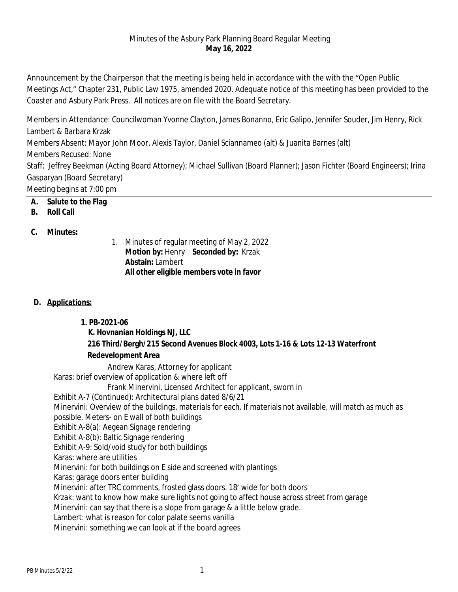#### Minutes of the Asbury Park Planning Board Regular Meeting **May 16, 2022**

Announcement by the Chairperson that the meeting is being held in accordance with the with the "Open Public Meetings Act," Chapter 231, Public Law 1975, amended 2020. Adequate notice of this meeting has been provided to the Coaster and Asbury Park Press. All notices are on file with the Board Secretary.

Members in Attendance: Councilwoman Yvonne Clayton, James Bonanno, Eric Galipo, Jennifer Souder, Jim Henry, Rick Lambert & Barbara Krzak Members Absent: Mayor John Moor, Alexis Taylor, Daniel Sciannameo (alt) & Juanita Barnes (alt) Members Recused: None Staff: Jeffrey Beekman (Acting Board Attorney); Michael Sullivan (Board Planner); Jason Fichter (Board Engineers); Irina Gasparyan (Board Secretary) Meeting begins at 7:00 pm

- **A. Salute to the Flag**
- **B. Roll Call**

### **C. Minutes:**

1. Minutes of regular meeting of May 2, 2022 **Motion by:** Henry **Seconded by:** Krzak **Abstain:** Lambert **All other eligible members vote in favor**

## **D. Applications:**

## **1. PB-2021-06**

# **K. Hovnanian Holdings NJ, LLC 216 Third/Bergh/215 Second Avenues Block 4003, Lots 1-16 & Lots 12-13 Waterfront Redevelopment Area**

Andrew Karas, Attorney for applicant Karas: brief overview of application & where left off Frank Minervini, Licensed Architect for applicant, sworn in Exhibit A-7 (Continued): Architectural plans dated 8/6/21 Minervini: Overview of the buildings, materials for each. If materials not available, will match as much as possible. Meters- on E wall of both buildings Exhibit A-8(a): Aegean Signage rendering Exhibit A-8(b): Baltic Signage rendering Exhibit A-9: Sold/void study for both buildings Karas: where are utilities Minervini: for both buildings on E side and screened with plantings Karas: garage doors enter building Minervini: after TRC comments, frosted glass doors. 18' wide for both doors Krzak: want to know how make sure lights not going to affect house across street from garage Minervini: can say that there is a slope from garage & a little below grade. Lambert: what is reason for color palate seems vanilla Minervini: something we can look at if the board agrees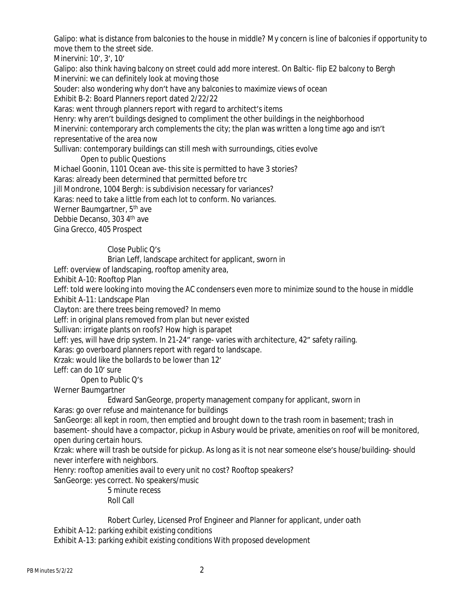Galipo: what is distance from balconies to the house in middle? My concern is line of balconies if opportunity to move them to the street side.

Minervini: 10', 3', 10'

Galipo: also think having balcony on street could add more interest. On Baltic- flip E2 balcony to Bergh Minervini: we can definitely look at moving those

Souder: also wondering why don't have any balconies to maximize views of ocean

Exhibit B-2: Board Planners report dated 2/22/22

Karas: went through planners report with regard to architect's items

Henry: why aren't buildings designed to compliment the other buildings in the neighborhood

Minervini: contemporary arch complements the city; the plan was written a long time ago and isn't representative of the area now

Sullivan: contemporary buildings can still mesh with surroundings, cities evolve

Open to public Questions

Michael Goonin, 1101 Ocean ave- this site is permitted to have 3 stories?

Karas: already been determined that permitted before trc

Jill Mondrone, 1004 Bergh: is subdivision necessary for variances?

Karas: need to take a little from each lot to conform. No variances.

Werner Baumgartner, 5<sup>th</sup> ave

Debbie Decanso, 303 4th ave

Gina Grecco, 405 Prospect

Close Public Q's

Brian Leff, landscape architect for applicant, sworn in

Leff: overview of landscaping, rooftop amenity area,

Exhibit A-10: Rooftop Plan

Leff: told were looking into moving the AC condensers even more to minimize sound to the house in middle Exhibit A-11: Landscape Plan

Clayton: are there trees being removed? In memo

Leff: in original plans removed from plan but never existed

Sullivan: irrigate plants on roofs? How high is parapet

Leff: yes, will have drip system. In 21-24" range- varies with architecture, 42" safety railing.

Karas: go overboard planners report with regard to landscape.

Krzak: would like the bollards to be lower than 12'

Leff: can do 10' sure

Open to Public Q's

Werner Baumgartner

Edward SanGeorge, property management company for applicant, sworn in

Karas: go over refuse and maintenance for buildings

SanGeorge: all kept in room, then emptied and brought down to the trash room in basement; trash in basement- should have a compactor, pickup in Asbury would be private, amenities on roof will be monitored, open during certain hours.

Krzak: where will trash be outside for pickup. As long as it is not near someone else's house/building- should never interfere with neighbors.

Henry: rooftop amenities avail to every unit no cost? Rooftop speakers?

SanGeorge: yes correct. No speakers/music

5 minute recess Roll Call

Robert Curley, Licensed Prof Engineer and Planner for applicant, under oath

Exhibit A-12: parking exhibit existing conditions

Exhibit A-13: parking exhibit existing conditions With proposed development